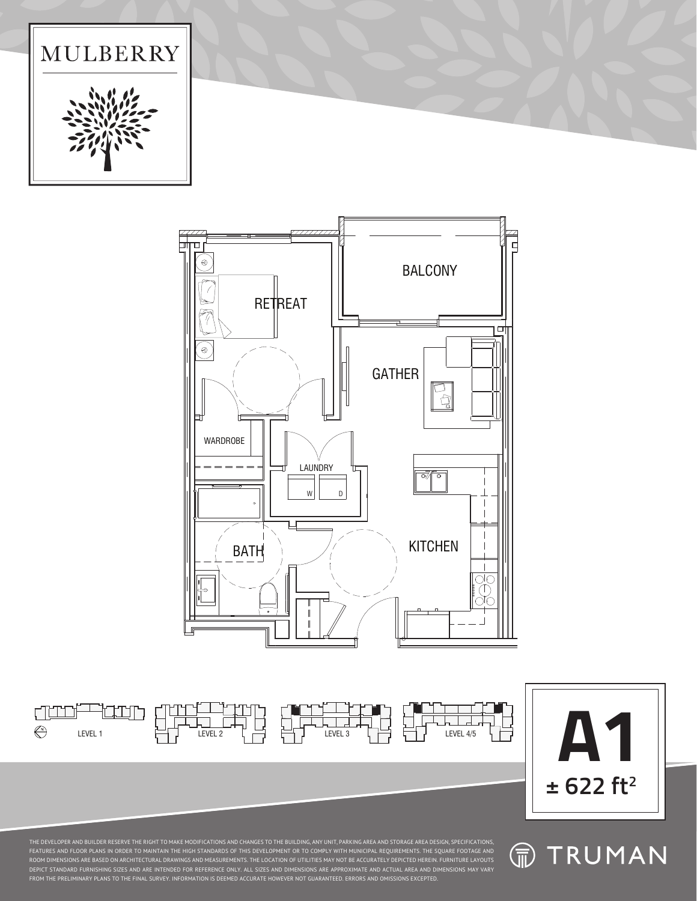







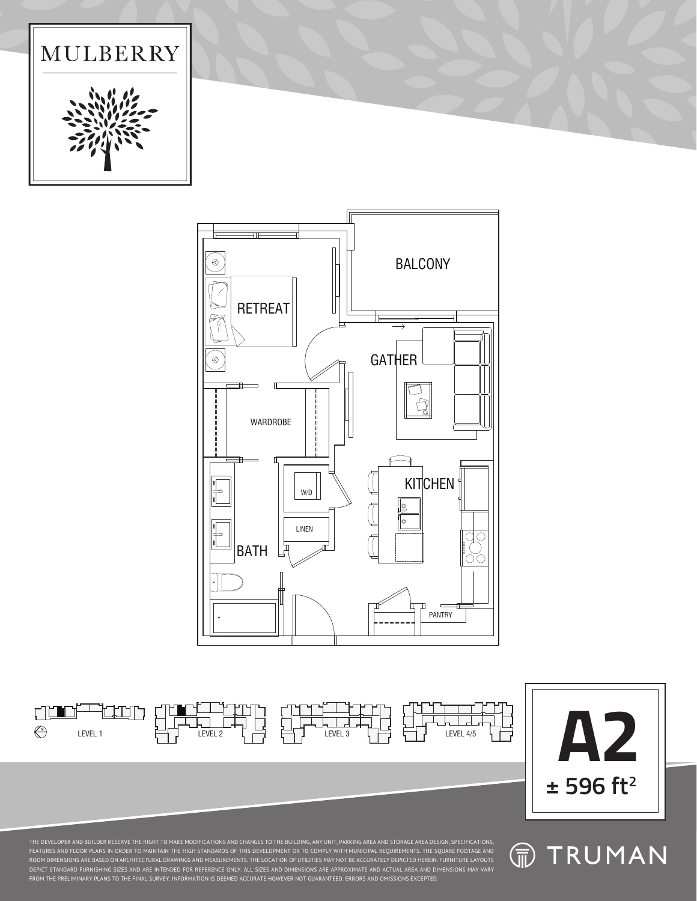







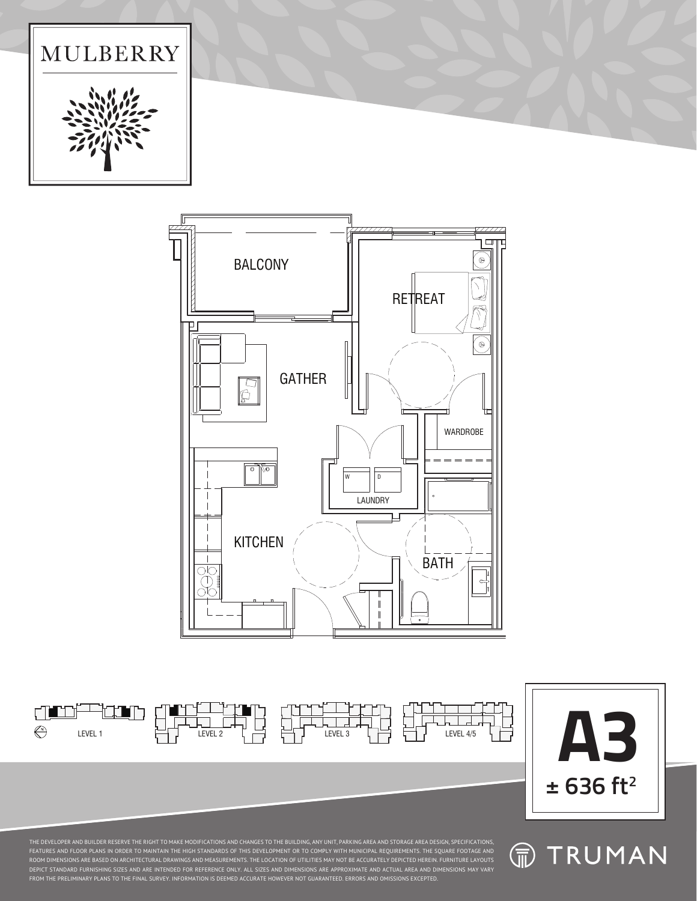







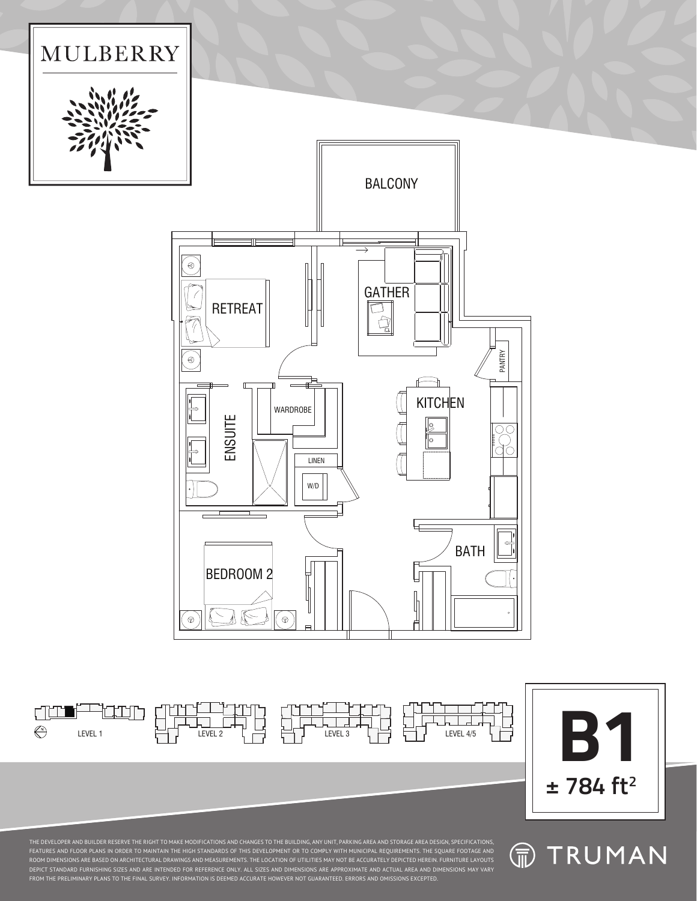



 $\bigoplus$ 

**命 TRUMAN**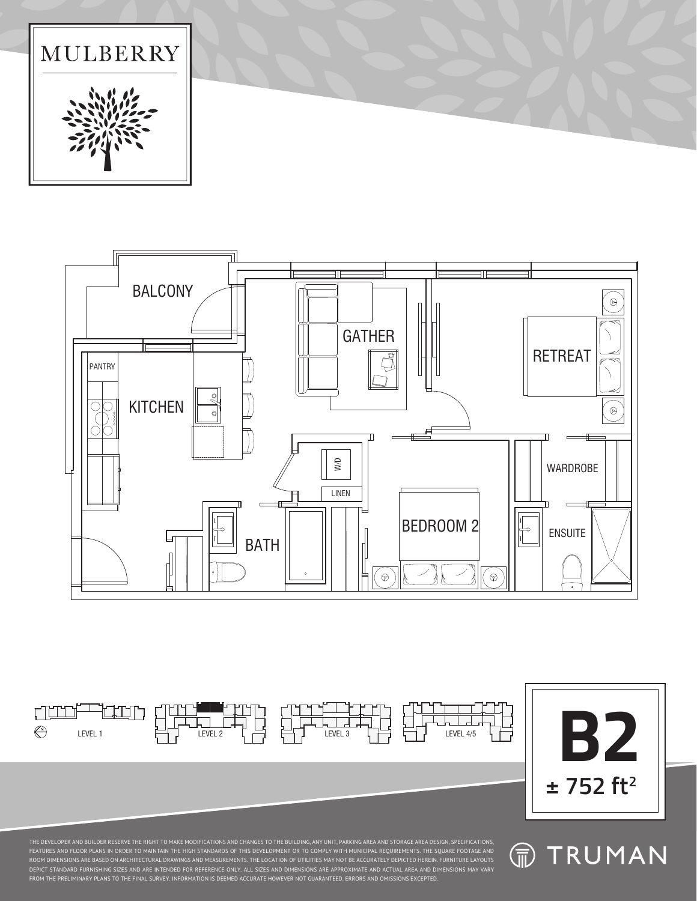







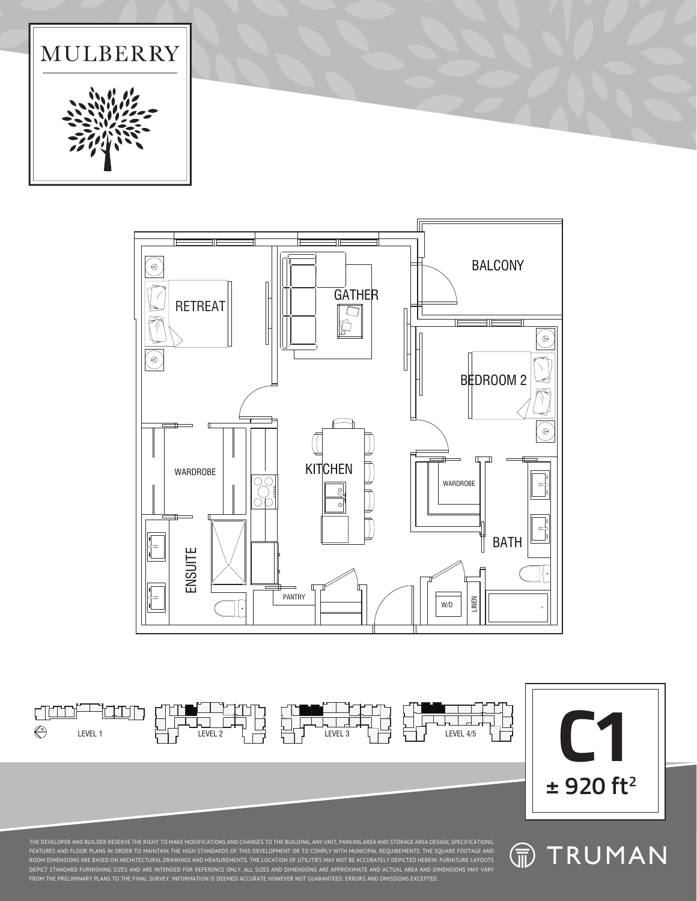LEVEL 1 LEVEL 2 LEVEL 3 LEVEL 4/5



 $\Box$ 





duni

 $\bigoplus$ 

10.BIN



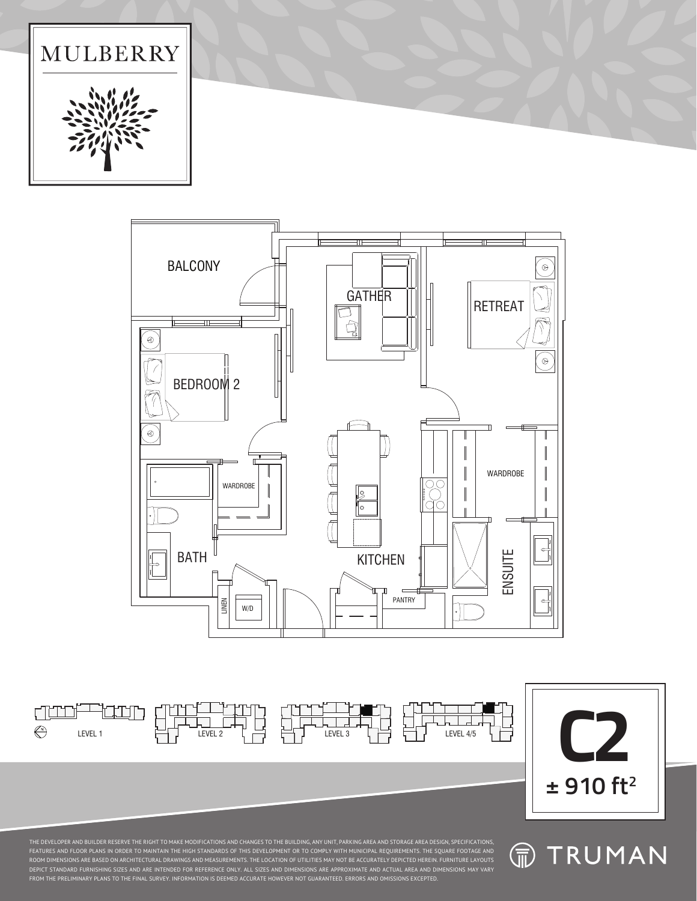









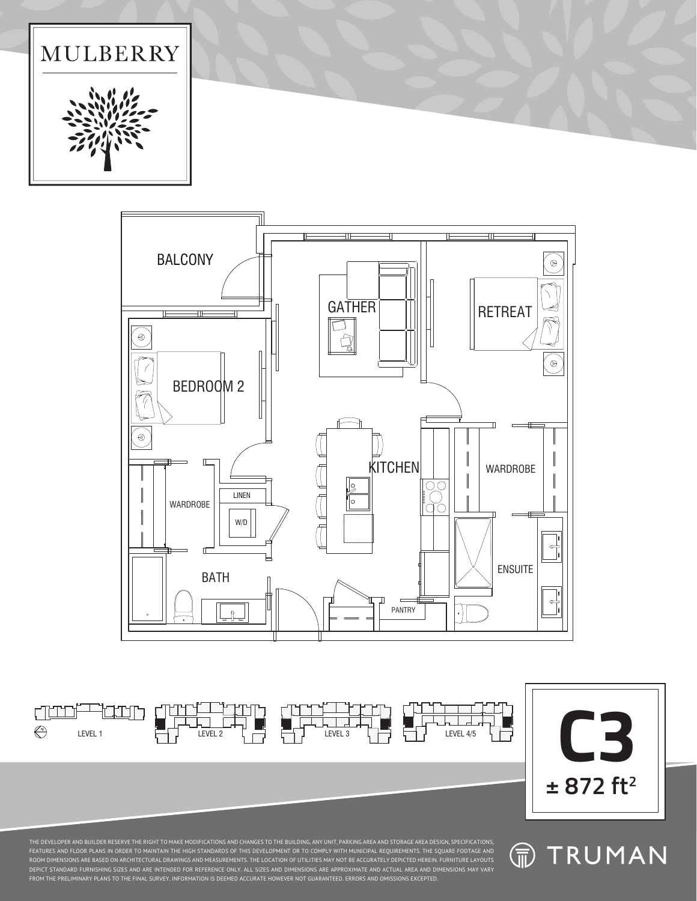









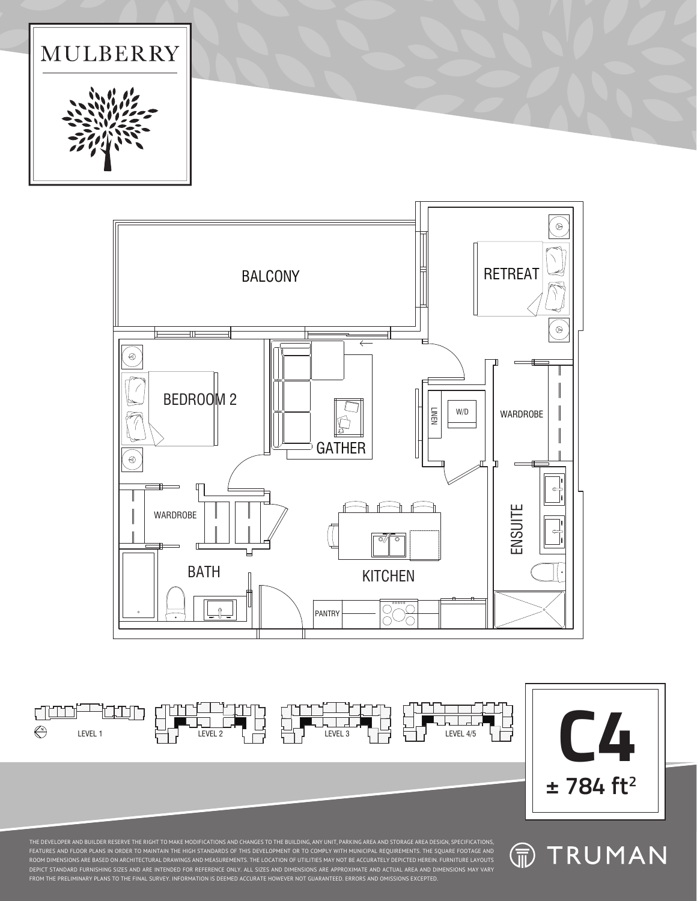









**命 TRUMAN**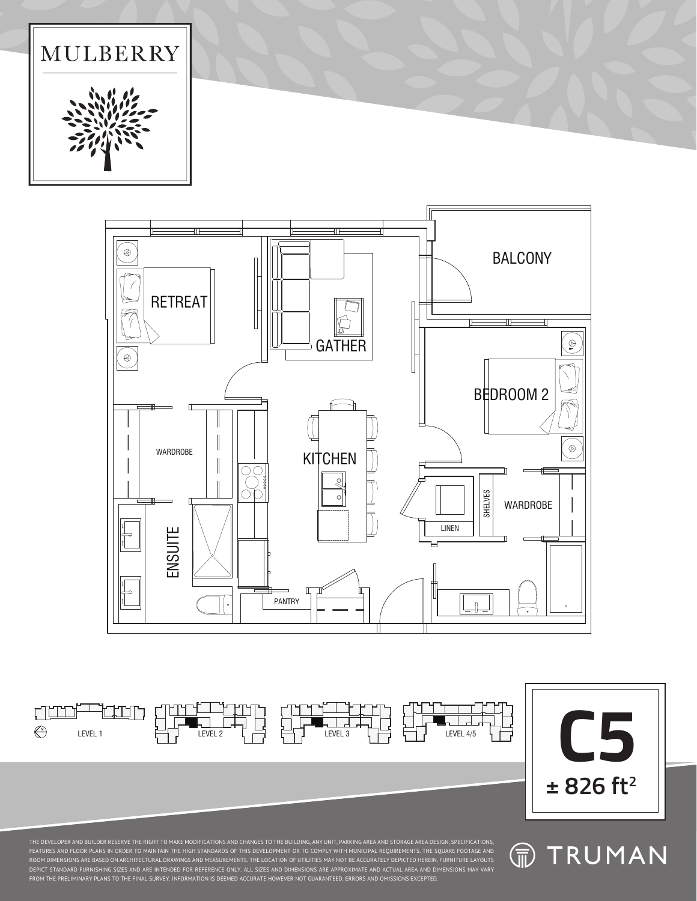LEVEL 1 LEVEL 2 LEVEL 3 LEVEL 4/5







duni

 $\bigoplus$ 

10HH



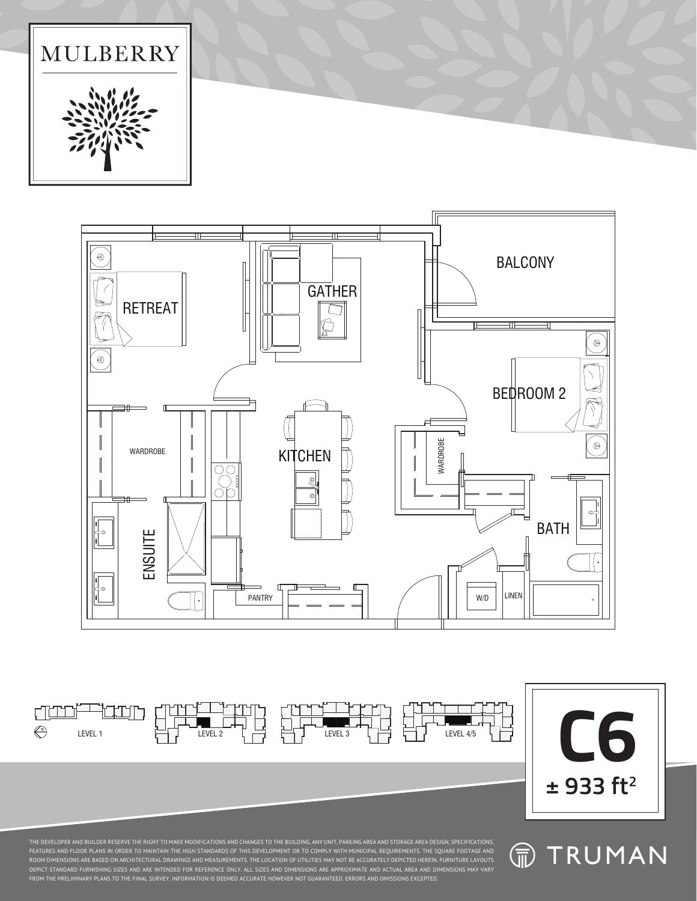LEVEL 1 LEVEL 2 LEVEL 3 LEVEL 4/5



**GATHER** 



**MULBERRY** 

 $\circledR$ 

amo

 $\bigoplus$ 

iaan,



 $\blacksquare$ 

BALCONY

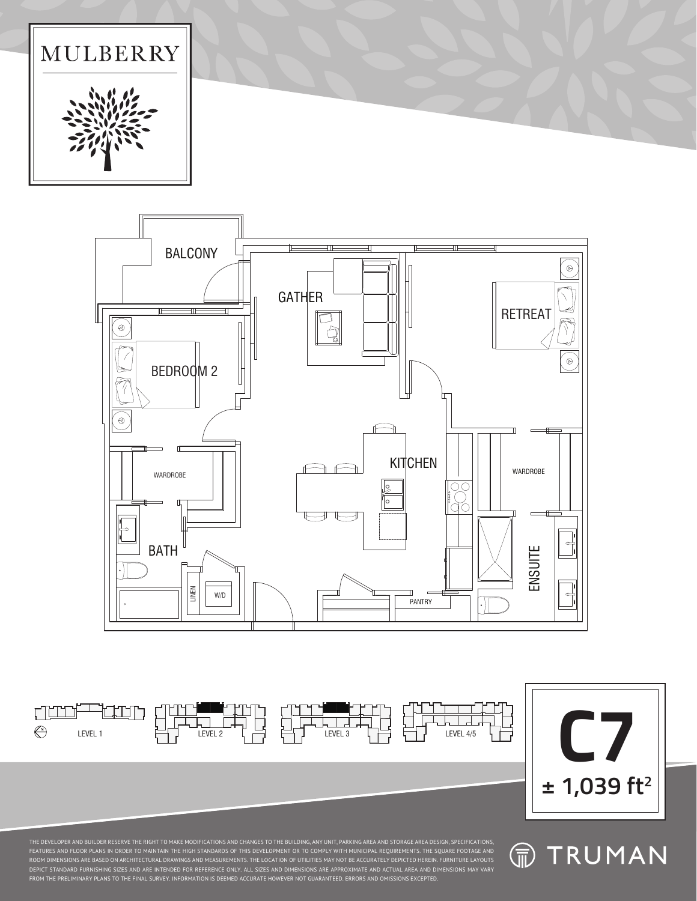**命 TRUMAN** 







 $\bigoplus$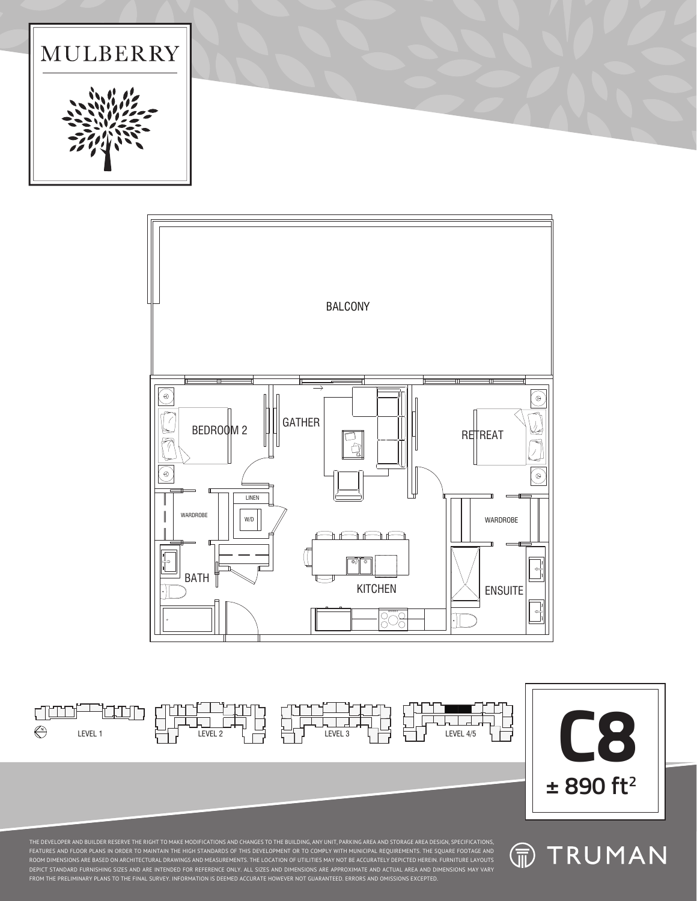LEVEL 1 LEVEL 2 LEVEL 3 LEVEL 4/5



 $\mathbf{I}$ 





duni

 $\bigoplus$ 

iaan,

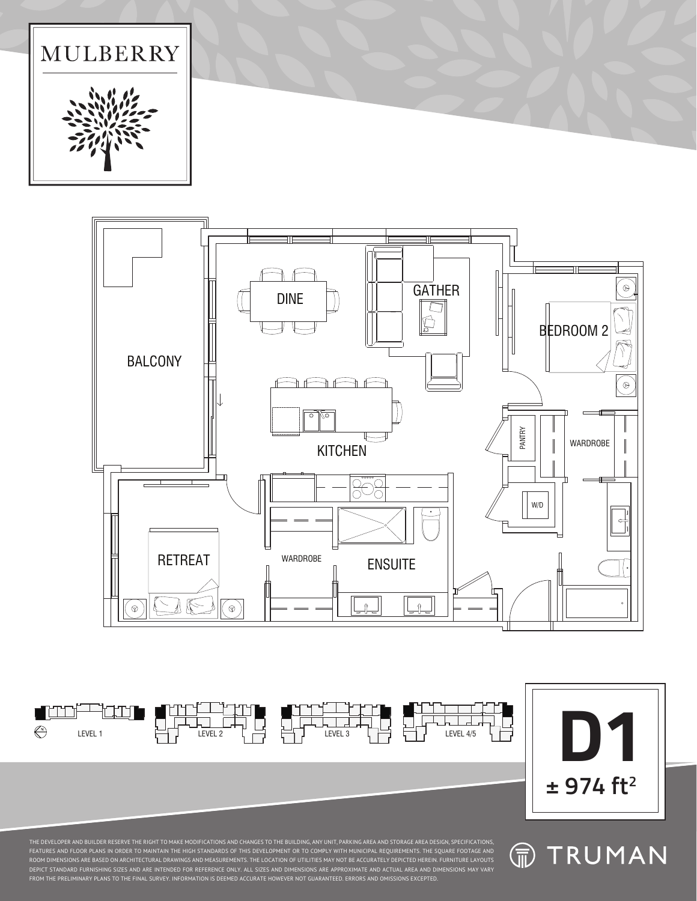







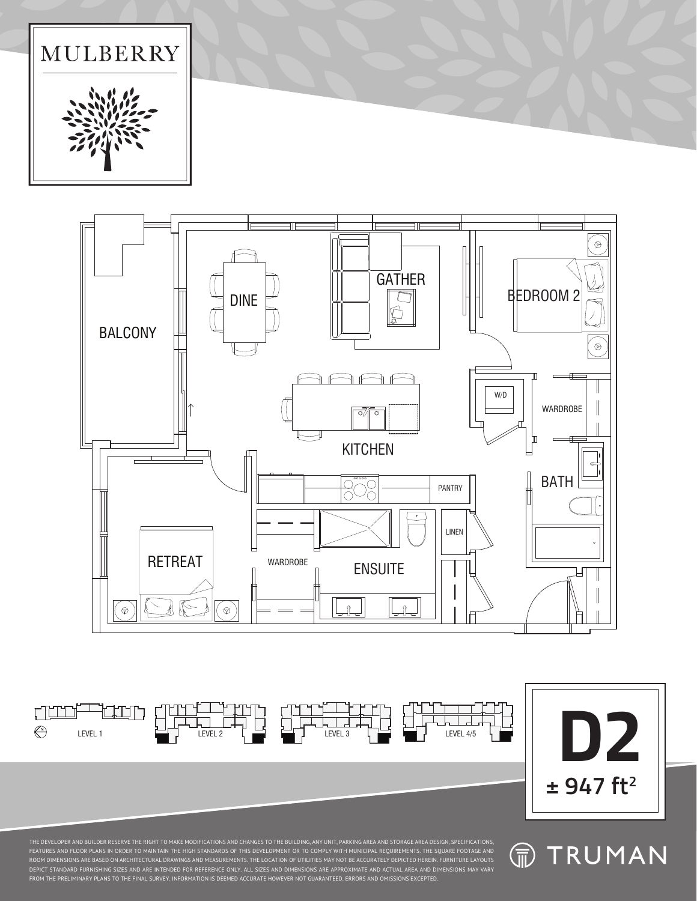